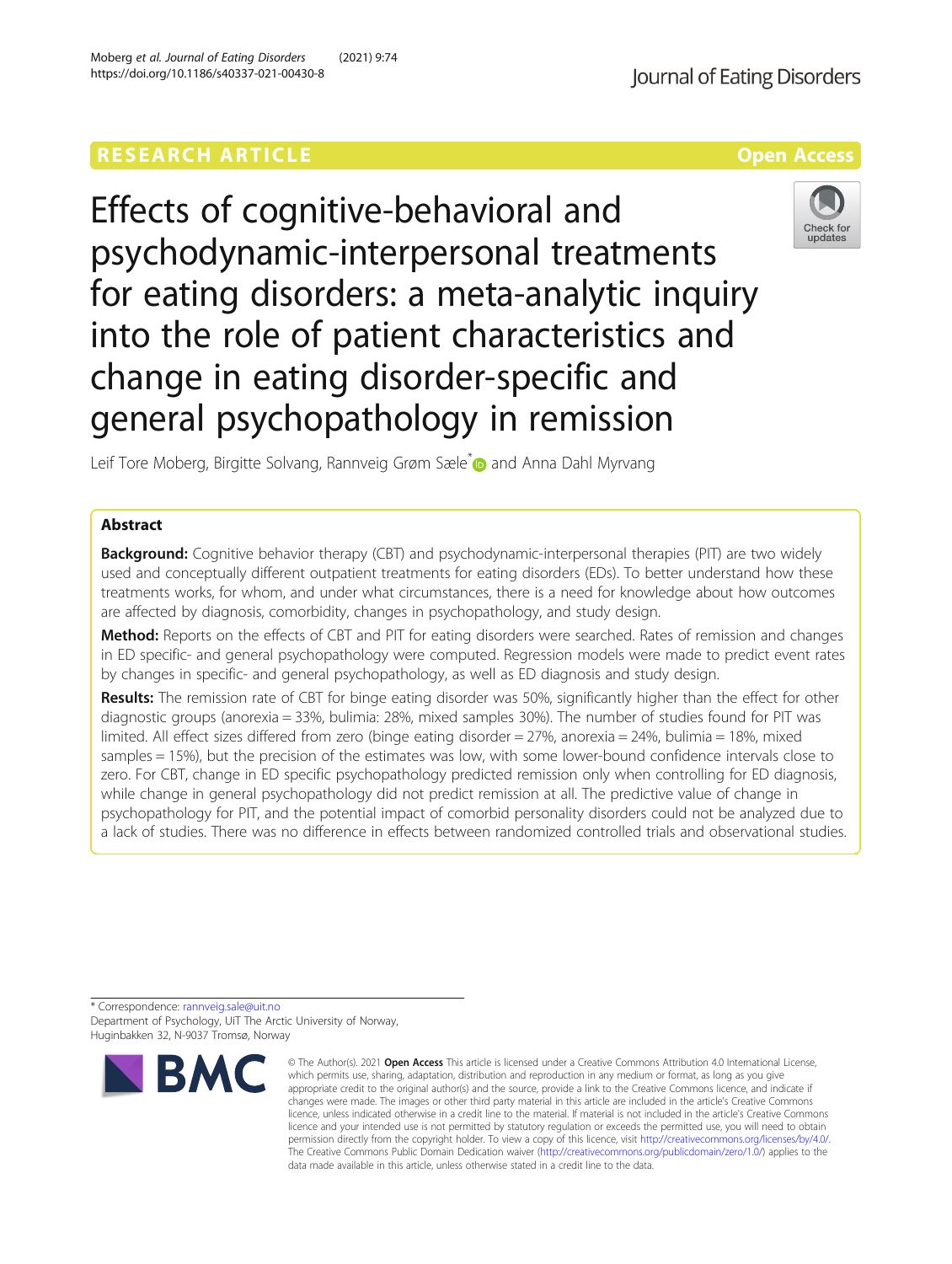# **RESEARCH ARTICLE Example 2018 12:30 THE Open Access**

Effects of cognitive-behavioral and psychodynamic-interpersonal treatments for eating disorders: a meta-analytic inquiry into the role of patient characteristics and change in eating disorder-specific and general psychopathology in remission

Leif Tore Moberg, Birgitte Solvang, Rannveig Grøm Sæle<sup>\*</sup> and Anna Dahl Myrvang

# Abstract

**Background:** Cognitive behavior therapy (CBT) and psychodynamic-interpersonal therapies (PIT) are two widely used and conceptually different outpatient treatments for eating disorders (EDs). To better understand how these treatments works, for whom, and under what circumstances, there is a need for knowledge about how outcomes are affected by diagnosis, comorbidity, changes in psychopathology, and study design.

Method: Reports on the effects of CBT and PIT for eating disorders were searched. Rates of remission and changes in ED specific- and general psychopathology were computed. Regression models were made to predict event rates by changes in specific- and general psychopathology, as well as ED diagnosis and study design.

Results: The remission rate of CBT for binge eating disorder was 50%, significantly higher than the effect for other diagnostic groups (anorexia = 33%, bulimia: 28%, mixed samples 30%). The number of studies found for PIT was limited. All effect sizes differed from zero (binge eating disorder = 27%, anorexia = 24%, bulimia = 18%, mixed samples = 15%), but the precision of the estimates was low, with some lower-bound confidence intervals close to zero. For CBT, change in ED specific psychopathology predicted remission only when controlling for ED diagnosis, while change in general psychopathology did not predict remission at all. The predictive value of change in psychopathology for PIT, and the potential impact of comorbid personality disorders could not be analyzed due to a lack of studies. There was no difference in effects between randomized controlled trials and observational studies.

\* Correspondence: [rannveig.sale@uit.no](mailto:rannveig.sale@uit.no) Department of Psychology, UiT The Arctic University of Norway, Huginbakken 32, N-9037 Tromsø, Norway





<sup>©</sup> The Author(s), 2021 **Open Access** This article is licensed under a Creative Commons Attribution 4.0 International License, which permits use, sharing, adaptation, distribution and reproduction in any medium or format, as long as you give appropriate credit to the original author(s) and the source, provide a link to the Creative Commons licence, and indicate if changes were made. The images or other third party material in this article are included in the article's Creative Commons licence, unless indicated otherwise in a credit line to the material. If material is not included in the article's Creative Commons licence and your intended use is not permitted by statutory regulation or exceeds the permitted use, you will need to obtain permission directly from the copyright holder. To view a copy of this licence, visit [http://creativecommons.org/licenses/by/4.0/.](http://creativecommons.org/licenses/by/4.0/) The Creative Commons Public Domain Dedication waiver [\(http://creativecommons.org/publicdomain/zero/1.0/](http://creativecommons.org/publicdomain/zero/1.0/)) applies to the data made available in this article, unless otherwise stated in a credit line to the data.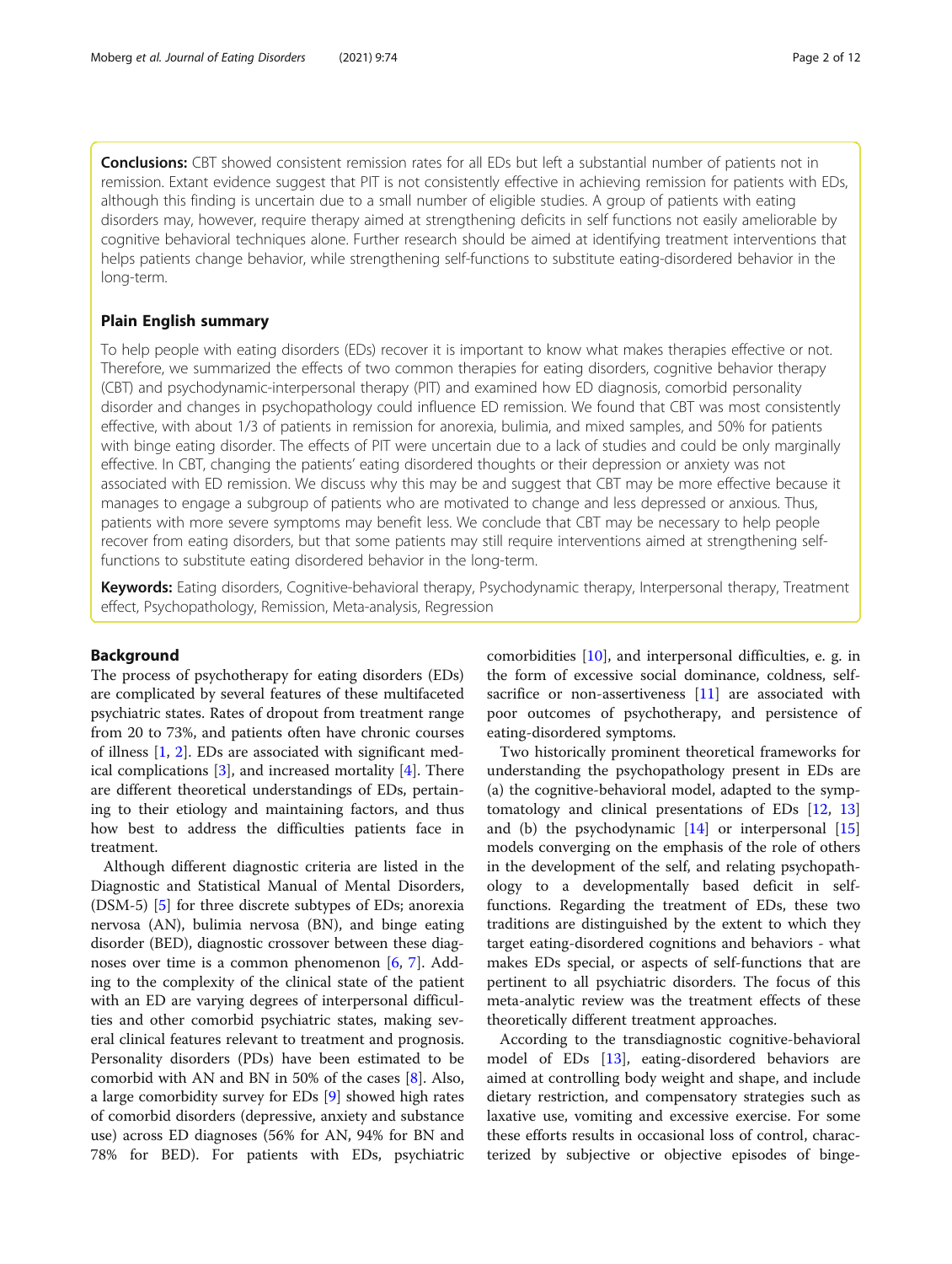Conclusions: CBT showed consistent remission rates for all EDs but left a substantial number of patients not in remission. Extant evidence suggest that PIT is not consistently effective in achieving remission for patients with EDs, although this finding is uncertain due to a small number of eligible studies. A group of patients with eating disorders may, however, require therapy aimed at strengthening deficits in self functions not easily ameliorable by cognitive behavioral techniques alone. Further research should be aimed at identifying treatment interventions that helps patients change behavior, while strengthening self-functions to substitute eating-disordered behavior in the long-term.

# Plain English summary

To help people with eating disorders (EDs) recover it is important to know what makes therapies effective or not. Therefore, we summarized the effects of two common therapies for eating disorders, cognitive behavior therapy (CBT) and psychodynamic-interpersonal therapy (PIT) and examined how ED diagnosis, comorbid personality disorder and changes in psychopathology could influence ED remission. We found that CBT was most consistently effective, with about 1/3 of patients in remission for anorexia, bulimia, and mixed samples, and 50% for patients with binge eating disorder. The effects of PIT were uncertain due to a lack of studies and could be only marginally effective. In CBT, changing the patients' eating disordered thoughts or their depression or anxiety was not associated with ED remission. We discuss why this may be and suggest that CBT may be more effective because it manages to engage a subgroup of patients who are motivated to change and less depressed or anxious. Thus, patients with more severe symptoms may benefit less. We conclude that CBT may be necessary to help people recover from eating disorders, but that some patients may still require interventions aimed at strengthening selffunctions to substitute eating disordered behavior in the long-term.

Keywords: Eating disorders, Cognitive-behavioral therapy, Psychodynamic therapy, Interpersonal therapy, Treatment effect, Psychopathology, Remission, Meta-analysis, Regression

#### Background

The process of psychotherapy for eating disorders (EDs) are complicated by several features of these multifaceted psychiatric states. Rates of dropout from treatment range from 20 to 73%, and patients often have chronic courses of illness [\[1](#page-10-0), [2\]](#page-10-0). EDs are associated with significant medical complications [[3\]](#page-10-0), and increased mortality [[4\]](#page-10-0). There are different theoretical understandings of EDs, pertaining to their etiology and maintaining factors, and thus how best to address the difficulties patients face in treatment.

Although different diagnostic criteria are listed in the Diagnostic and Statistical Manual of Mental Disorders, (DSM-5) [\[5](#page-10-0)] for three discrete subtypes of EDs; anorexia nervosa (AN), bulimia nervosa (BN), and binge eating disorder (BED), diagnostic crossover between these diagnoses over time is a common phenomenon  $[6, 7]$  $[6, 7]$  $[6, 7]$ . Adding to the complexity of the clinical state of the patient with an ED are varying degrees of interpersonal difficulties and other comorbid psychiatric states, making several clinical features relevant to treatment and prognosis. Personality disorders (PDs) have been estimated to be comorbid with AN and BN in 50% of the cases [[8\]](#page-10-0). Also, a large comorbidity survey for EDs [[9](#page-10-0)] showed high rates of comorbid disorders (depressive, anxiety and substance use) across ED diagnoses (56% for AN, 94% for BN and 78% for BED). For patients with EDs, psychiatric comorbidities [\[10](#page-10-0)], and interpersonal difficulties, e. g. in the form of excessive social dominance, coldness, selfsacrifice or non-assertiveness [[11](#page-10-0)] are associated with poor outcomes of psychotherapy, and persistence of eating-disordered symptoms.

Two historically prominent theoretical frameworks for understanding the psychopathology present in EDs are (a) the cognitive-behavioral model, adapted to the symptomatology and clinical presentations of EDs [\[12](#page-10-0), [13](#page-10-0)] and (b) the psychodynamic  $[14]$  or interpersonal  $[15]$  $[15]$  $[15]$ models converging on the emphasis of the role of others in the development of the self, and relating psychopathology to a developmentally based deficit in selffunctions. Regarding the treatment of EDs, these two traditions are distinguished by the extent to which they target eating-disordered cognitions and behaviors - what makes EDs special, or aspects of self-functions that are pertinent to all psychiatric disorders. The focus of this meta-analytic review was the treatment effects of these theoretically different treatment approaches.

According to the transdiagnostic cognitive-behavioral model of EDs [\[13](#page-10-0)], eating-disordered behaviors are aimed at controlling body weight and shape, and include dietary restriction, and compensatory strategies such as laxative use, vomiting and excessive exercise. For some these efforts results in occasional loss of control, characterized by subjective or objective episodes of binge-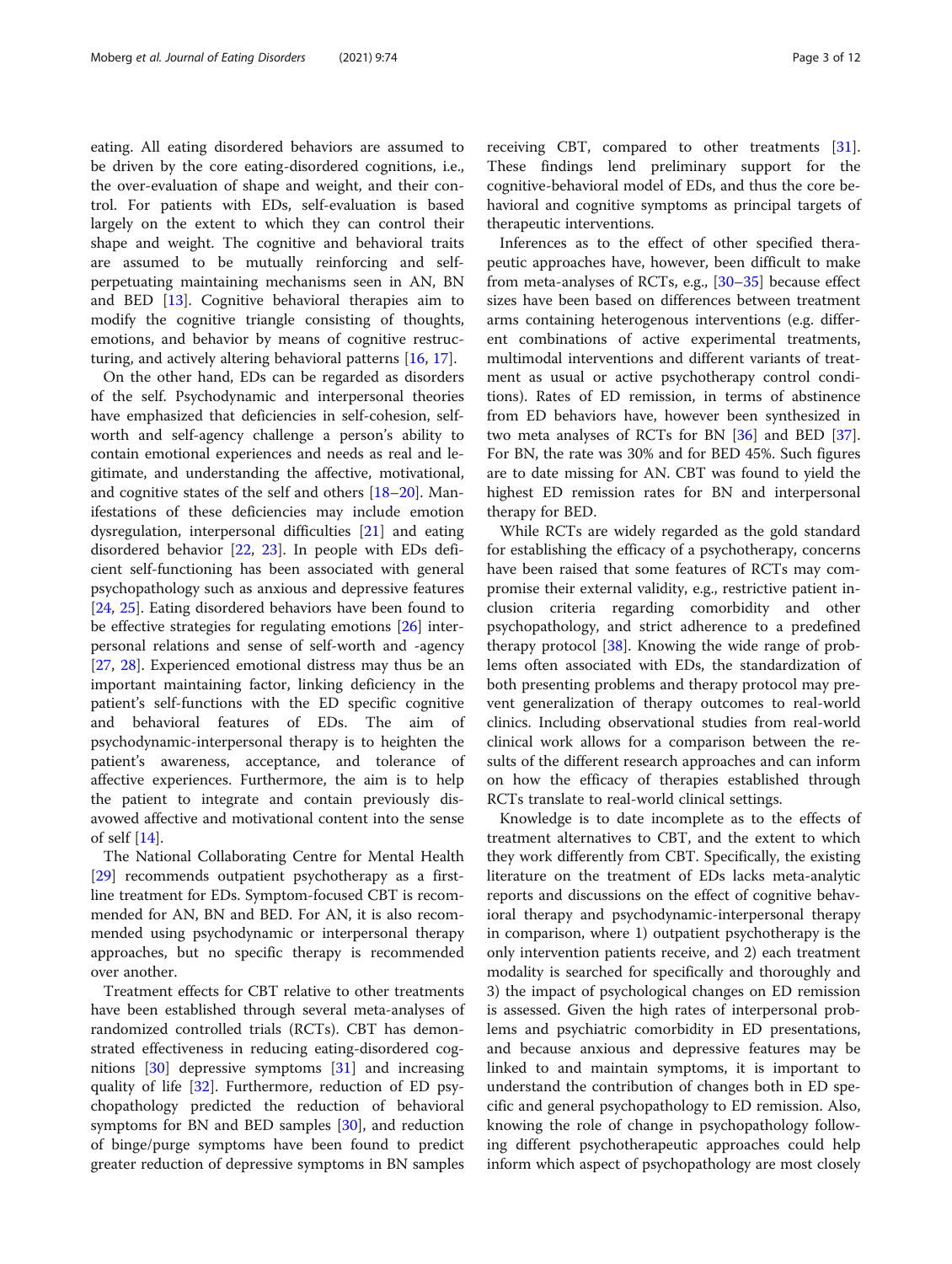eating. All eating disordered behaviors are assumed to be driven by the core eating-disordered cognitions, i.e., the over-evaluation of shape and weight, and their control. For patients with EDs, self-evaluation is based largely on the extent to which they can control their shape and weight. The cognitive and behavioral traits are assumed to be mutually reinforcing and selfperpetuating maintaining mechanisms seen in AN, BN and BED [[13\]](#page-10-0). Cognitive behavioral therapies aim to modify the cognitive triangle consisting of thoughts, emotions, and behavior by means of cognitive restructuring, and actively altering behavioral patterns [\[16,](#page-10-0) [17\]](#page-10-0).

On the other hand, EDs can be regarded as disorders of the self. Psychodynamic and interpersonal theories have emphasized that deficiencies in self-cohesion, selfworth and self-agency challenge a person's ability to contain emotional experiences and needs as real and legitimate, and understanding the affective, motivational, and cognitive states of the self and others [\[18](#page-10-0)–[20\]](#page-10-0). Manifestations of these deficiencies may include emotion dysregulation, interpersonal difficulties [[21\]](#page-10-0) and eating disordered behavior [\[22](#page-10-0), [23\]](#page-11-0). In people with EDs deficient self-functioning has been associated with general psychopathology such as anxious and depressive features [[24,](#page-11-0) [25\]](#page-11-0). Eating disordered behaviors have been found to be effective strategies for regulating emotions [\[26](#page-11-0)] interpersonal relations and sense of self-worth and -agency [[27,](#page-11-0) [28](#page-11-0)]. Experienced emotional distress may thus be an important maintaining factor, linking deficiency in the patient's self-functions with the ED specific cognitive and behavioral features of EDs. The aim of psychodynamic-interpersonal therapy is to heighten the patient's awareness, acceptance, and tolerance of affective experiences. Furthermore, the aim is to help the patient to integrate and contain previously disavowed affective and motivational content into the sense of self [\[14](#page-10-0)].

The National Collaborating Centre for Mental Health [[29\]](#page-11-0) recommends outpatient psychotherapy as a firstline treatment for EDs. Symptom-focused CBT is recommended for AN, BN and BED. For AN, it is also recommended using psychodynamic or interpersonal therapy approaches, but no specific therapy is recommended over another.

Treatment effects for CBT relative to other treatments have been established through several meta-analyses of randomized controlled trials (RCTs). CBT has demonstrated effectiveness in reducing eating-disordered cognitions [\[30](#page-11-0)] depressive symptoms [\[31\]](#page-11-0) and increasing quality of life [\[32](#page-11-0)]. Furthermore, reduction of ED psychopathology predicted the reduction of behavioral symptoms for BN and BED samples [[30\]](#page-11-0), and reduction of binge/purge symptoms have been found to predict greater reduction of depressive symptoms in BN samples receiving CBT, compared to other treatments [\[31](#page-11-0)]. These findings lend preliminary support for the cognitive-behavioral model of EDs, and thus the core behavioral and cognitive symptoms as principal targets of therapeutic interventions.

Inferences as to the effect of other specified therapeutic approaches have, however, been difficult to make from meta-analyses of RCTs, e.g., [\[30](#page-11-0)–[35](#page-11-0)] because effect sizes have been based on differences between treatment arms containing heterogenous interventions (e.g. different combinations of active experimental treatments, multimodal interventions and different variants of treatment as usual or active psychotherapy control conditions). Rates of ED remission, in terms of abstinence from ED behaviors have, however been synthesized in two meta analyses of RCTs for BN [\[36](#page-11-0)] and BED [\[37](#page-11-0)]. For BN, the rate was 30% and for BED 45%. Such figures are to date missing for AN. CBT was found to yield the highest ED remission rates for BN and interpersonal therapy for BED.

While RCTs are widely regarded as the gold standard for establishing the efficacy of a psychotherapy, concerns have been raised that some features of RCTs may compromise their external validity, e.g., restrictive patient inclusion criteria regarding comorbidity and other psychopathology, and strict adherence to a predefined therapy protocol [[38\]](#page-11-0). Knowing the wide range of problems often associated with EDs, the standardization of both presenting problems and therapy protocol may prevent generalization of therapy outcomes to real-world clinics. Including observational studies from real-world clinical work allows for a comparison between the results of the different research approaches and can inform on how the efficacy of therapies established through RCTs translate to real-world clinical settings.

Knowledge is to date incomplete as to the effects of treatment alternatives to CBT, and the extent to which they work differently from CBT. Specifically, the existing literature on the treatment of EDs lacks meta-analytic reports and discussions on the effect of cognitive behavioral therapy and psychodynamic-interpersonal therapy in comparison, where 1) outpatient psychotherapy is the only intervention patients receive, and 2) each treatment modality is searched for specifically and thoroughly and 3) the impact of psychological changes on ED remission is assessed. Given the high rates of interpersonal problems and psychiatric comorbidity in ED presentations, and because anxious and depressive features may be linked to and maintain symptoms, it is important to understand the contribution of changes both in ED specific and general psychopathology to ED remission. Also, knowing the role of change in psychopathology following different psychotherapeutic approaches could help inform which aspect of psychopathology are most closely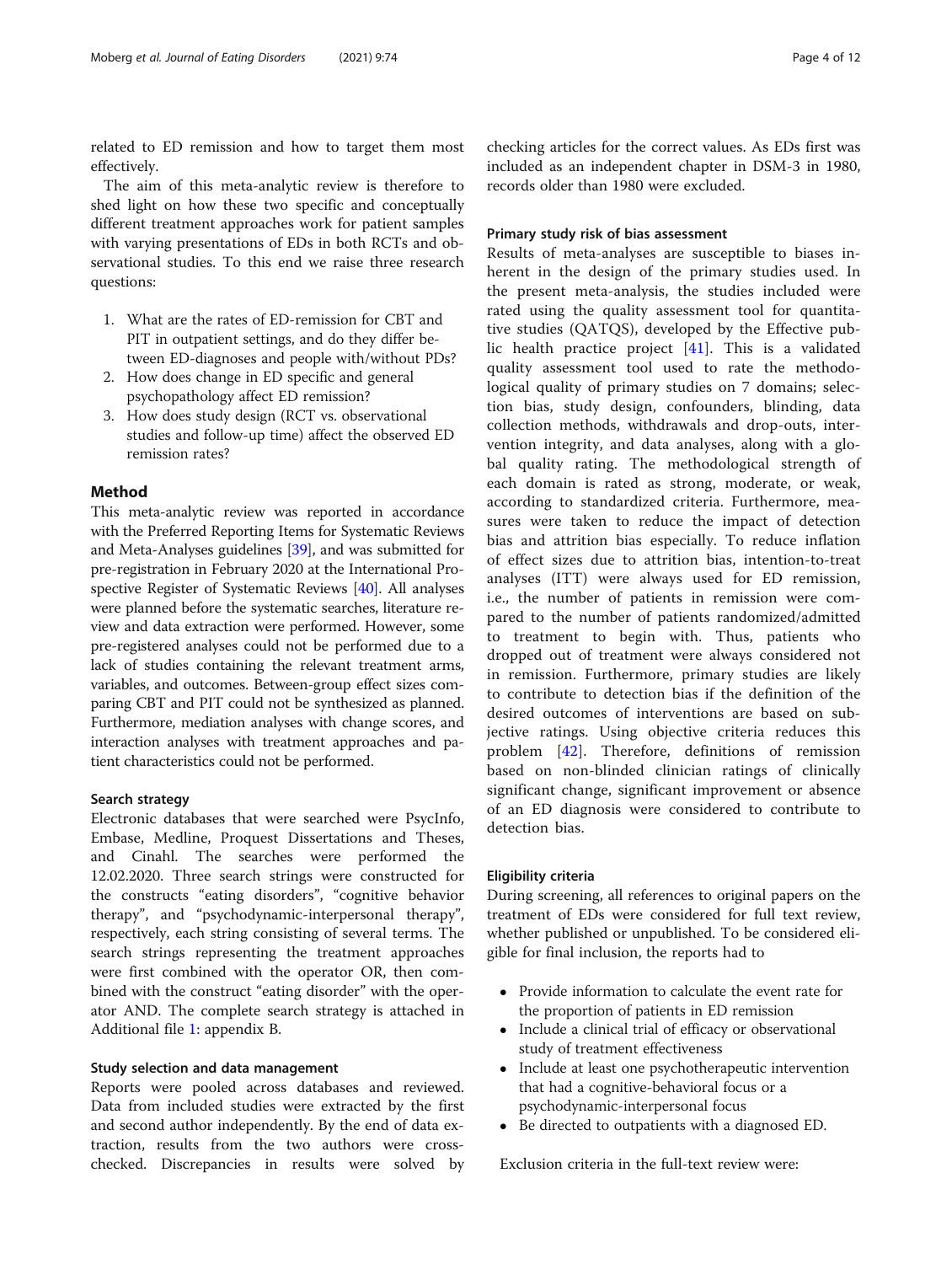related to ED remission and how to target them most effectively.

The aim of this meta-analytic review is therefore to shed light on how these two specific and conceptually different treatment approaches work for patient samples with varying presentations of EDs in both RCTs and observational studies. To this end we raise three research questions:

- 1. What are the rates of ED-remission for CBT and PIT in outpatient settings, and do they differ between ED-diagnoses and people with/without PDs?
- 2. How does change in ED specific and general psychopathology affect ED remission?
- 3. How does study design (RCT vs. observational studies and follow-up time) affect the observed ED remission rates?

### Method

This meta-analytic review was reported in accordance with the Preferred Reporting Items for Systematic Reviews and Meta-Analyses guidelines [[39](#page-11-0)], and was submitted for pre-registration in February 2020 at the International Prospective Register of Systematic Reviews [\[40\]](#page-11-0). All analyses were planned before the systematic searches, literature review and data extraction were performed. However, some pre-registered analyses could not be performed due to a lack of studies containing the relevant treatment arms, variables, and outcomes. Between-group effect sizes comparing CBT and PIT could not be synthesized as planned. Furthermore, mediation analyses with change scores, and interaction analyses with treatment approaches and patient characteristics could not be performed.

#### Search strategy

Electronic databases that were searched were PsycInfo, Embase, Medline, Proquest Dissertations and Theses, and Cinahl. The searches were performed the 12.02.2020. Three search strings were constructed for the constructs "eating disorders", "cognitive behavior therapy", and "psychodynamic-interpersonal therapy", respectively, each string consisting of several terms. The search strings representing the treatment approaches were first combined with the operator OR, then combined with the construct "eating disorder" with the operator AND. The complete search strategy is attached in Additional file [1](#page-10-0): appendix B.

### Study selection and data management

Reports were pooled across databases and reviewed. Data from included studies were extracted by the first and second author independently. By the end of data extraction, results from the two authors were crosschecked. Discrepancies in results were solved by

checking articles for the correct values. As EDs first was included as an independent chapter in DSM-3 in 1980, records older than 1980 were excluded.

# Primary study risk of bias assessment

Results of meta-analyses are susceptible to biases inherent in the design of the primary studies used. In the present meta-analysis, the studies included were rated using the quality assessment tool for quantitative studies (QATQS), developed by the Effective public health practice project [[41\]](#page-11-0). This is a validated quality assessment tool used to rate the methodological quality of primary studies on 7 domains; selection bias, study design, confounders, blinding, data collection methods, withdrawals and drop-outs, intervention integrity, and data analyses, along with a global quality rating. The methodological strength of each domain is rated as strong, moderate, or weak, according to standardized criteria. Furthermore, measures were taken to reduce the impact of detection bias and attrition bias especially. To reduce inflation of effect sizes due to attrition bias, intention-to-treat analyses (ITT) were always used for ED remission, i.e., the number of patients in remission were compared to the number of patients randomized/admitted to treatment to begin with. Thus, patients who dropped out of treatment were always considered not in remission. Furthermore, primary studies are likely to contribute to detection bias if the definition of the desired outcomes of interventions are based on subjective ratings. Using objective criteria reduces this problem [[42\]](#page-11-0). Therefore, definitions of remission based on non-blinded clinician ratings of clinically significant change, significant improvement or absence of an ED diagnosis were considered to contribute to detection bias.

#### Eligibility criteria

During screening, all references to original papers on the treatment of EDs were considered for full text review, whether published or unpublished. To be considered eligible for final inclusion, the reports had to

- Provide information to calculate the event rate for the proportion of patients in ED remission
- Include a clinical trial of efficacy or observational study of treatment effectiveness
- Include at least one psychotherapeutic intervention that had a cognitive-behavioral focus or a psychodynamic-interpersonal focus
- Be directed to outpatients with a diagnosed ED.

Exclusion criteria in the full-text review were: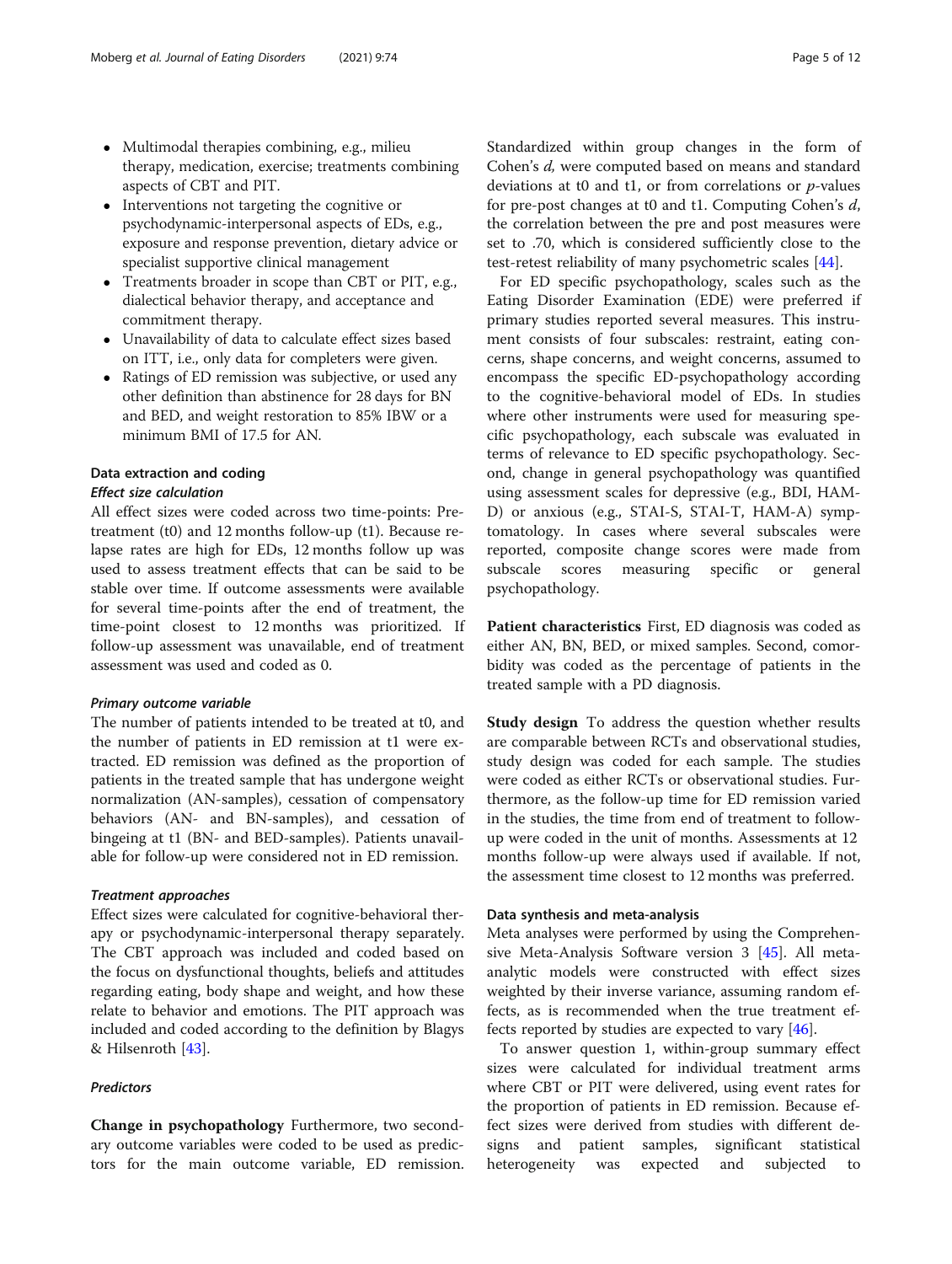- Multimodal therapies combining, e.g., milieu therapy, medication, exercise; treatments combining aspects of CBT and PIT.
- Interventions not targeting the cognitive or psychodynamic-interpersonal aspects of EDs, e.g., exposure and response prevention, dietary advice or specialist supportive clinical management
- Treatments broader in scope than CBT or PIT, e.g., dialectical behavior therapy, and acceptance and commitment therapy.
- Unavailability of data to calculate effect sizes based on ITT, i.e., only data for completers were given.
- Ratings of ED remission was subjective, or used any other definition than abstinence for 28 days for BN and BED, and weight restoration to 85% IBW or a minimum BMI of 17.5 for AN.

# Data extraction and coding

### Effect size calculation

All effect sizes were coded across two time-points: Pretreatment (t0) and 12 months follow-up (t1). Because relapse rates are high for EDs, 12 months follow up was used to assess treatment effects that can be said to be stable over time. If outcome assessments were available for several time-points after the end of treatment, the time-point closest to 12 months was prioritized. If follow-up assessment was unavailable, end of treatment assessment was used and coded as 0.

#### Primary outcome variable

The number of patients intended to be treated at t0, and the number of patients in ED remission at t1 were extracted. ED remission was defined as the proportion of patients in the treated sample that has undergone weight normalization (AN-samples), cessation of compensatory behaviors (AN- and BN-samples), and cessation of bingeing at t1 (BN- and BED-samples). Patients unavailable for follow-up were considered not in ED remission.

#### Treatment approaches

Effect sizes were calculated for cognitive-behavioral therapy or psychodynamic-interpersonal therapy separately. The CBT approach was included and coded based on the focus on dysfunctional thoughts, beliefs and attitudes regarding eating, body shape and weight, and how these relate to behavior and emotions. The PIT approach was included and coded according to the definition by Blagys & Hilsenroth  $[43]$  $[43]$ .

# Predictors

Change in psychopathology Furthermore, two secondary outcome variables were coded to be used as predictors for the main outcome variable, ED remission. Standardized within group changes in the form of Cohen's d, were computed based on means and standard deviations at t0 and t1, or from correlations or  $p$ -values for pre-post changes at t0 and t1. Computing Cohen's d, the correlation between the pre and post measures were set to .70, which is considered sufficiently close to the test-retest reliability of many psychometric scales [\[44](#page-11-0)].

For ED specific psychopathology, scales such as the Eating Disorder Examination (EDE) were preferred if primary studies reported several measures. This instrument consists of four subscales: restraint, eating concerns, shape concerns, and weight concerns, assumed to encompass the specific ED-psychopathology according to the cognitive-behavioral model of EDs. In studies where other instruments were used for measuring specific psychopathology, each subscale was evaluated in terms of relevance to ED specific psychopathology. Second, change in general psychopathology was quantified using assessment scales for depressive (e.g., BDI, HAM-D) or anxious (e.g., STAI-S, STAI-T, HAM-A) symptomatology. In cases where several subscales were reported, composite change scores were made from subscale scores measuring specific or general psychopathology.

Patient characteristics First, ED diagnosis was coded as either AN, BN, BED, or mixed samples. Second, comorbidity was coded as the percentage of patients in the treated sample with a PD diagnosis.

Study design To address the question whether results are comparable between RCTs and observational studies, study design was coded for each sample. The studies were coded as either RCTs or observational studies. Furthermore, as the follow-up time for ED remission varied in the studies, the time from end of treatment to followup were coded in the unit of months. Assessments at 12 months follow-up were always used if available. If not, the assessment time closest to 12 months was preferred.

# Data synthesis and meta-analysis

Meta analyses were performed by using the Comprehensive Meta-Analysis Software version 3 [\[45](#page-11-0)]. All metaanalytic models were constructed with effect sizes weighted by their inverse variance, assuming random effects, as is recommended when the true treatment effects reported by studies are expected to vary  $[46]$  $[46]$ .

To answer question 1, within-group summary effect sizes were calculated for individual treatment arms where CBT or PIT were delivered, using event rates for the proportion of patients in ED remission. Because effect sizes were derived from studies with different designs and patient samples, significant statistical heterogeneity was expected and subjected to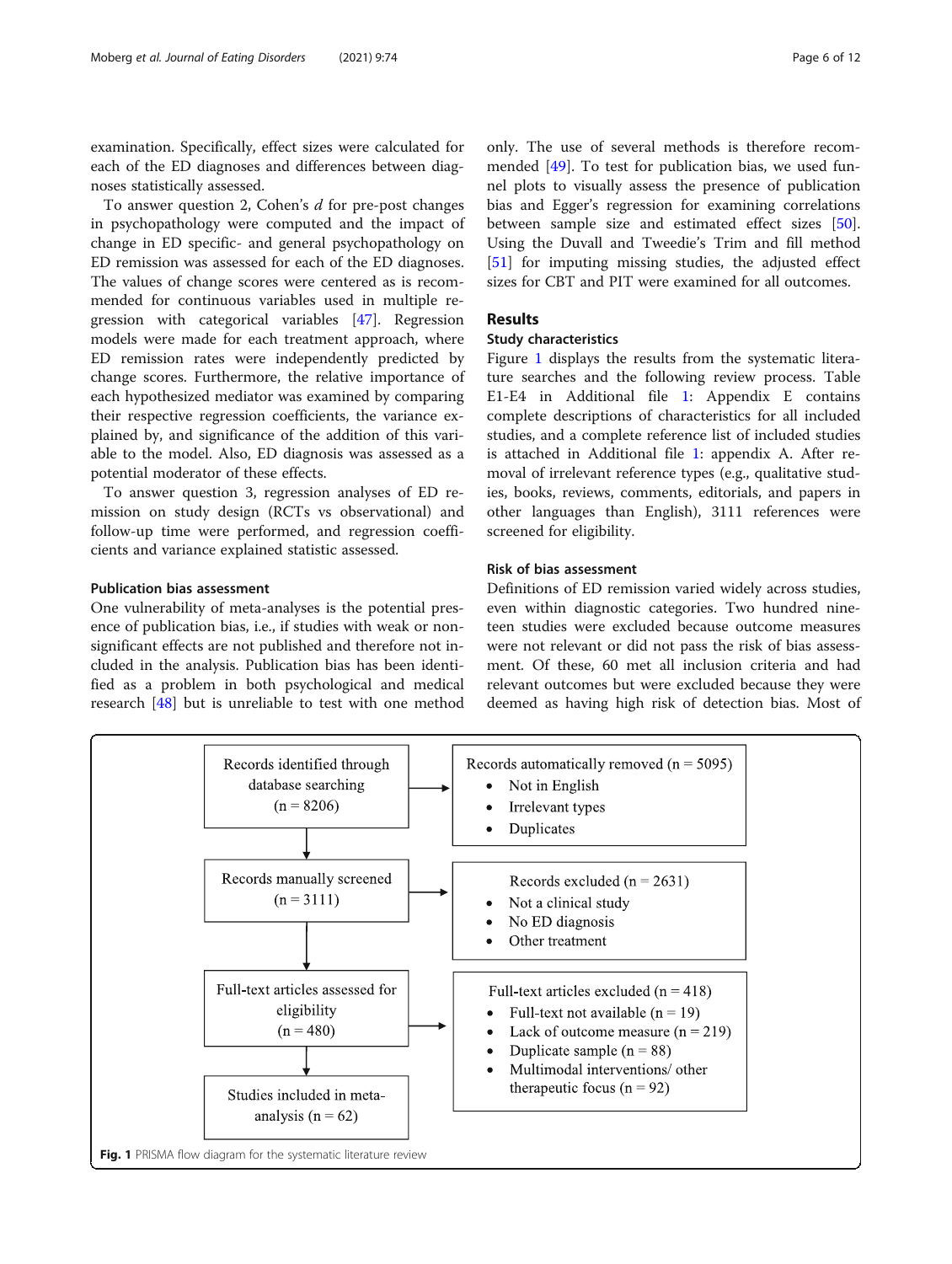examination. Specifically, effect sizes were calculated for each of the ED diagnoses and differences between diagnoses statistically assessed.

To answer question 2, Cohen's d for pre-post changes in psychopathology were computed and the impact of change in ED specific- and general psychopathology on ED remission was assessed for each of the ED diagnoses. The values of change scores were centered as is recommended for continuous variables used in multiple regression with categorical variables [\[47](#page-11-0)]. Regression models were made for each treatment approach, where ED remission rates were independently predicted by change scores. Furthermore, the relative importance of each hypothesized mediator was examined by comparing their respective regression coefficients, the variance explained by, and significance of the addition of this variable to the model. Also, ED diagnosis was assessed as a potential moderator of these effects.

To answer question 3, regression analyses of ED remission on study design (RCTs vs observational) and follow-up time were performed, and regression coefficients and variance explained statistic assessed.

### Publication bias assessment

One vulnerability of meta-analyses is the potential presence of publication bias, i.e., if studies with weak or nonsignificant effects are not published and therefore not included in the analysis. Publication bias has been identified as a problem in both psychological and medical research [[48\]](#page-11-0) but is unreliable to test with one method

only. The use of several methods is therefore recommended [\[49](#page-11-0)]. To test for publication bias, we used funnel plots to visually assess the presence of publication bias and Egger's regression for examining correlations between sample size and estimated effect sizes [\[50](#page-11-0)]. Using the Duvall and Tweedie's Trim and fill method [[51\]](#page-11-0) for imputing missing studies, the adjusted effect sizes for CBT and PIT were examined for all outcomes.

# Results

# Study characteristics

Figure 1 displays the results from the systematic literature searches and the following review process. Table E1-E4 in Additional file [1](#page-10-0): Appendix E contains complete descriptions of characteristics for all included studies, and a complete reference list of included studies is attached in Additional file [1](#page-10-0): appendix A. After removal of irrelevant reference types (e.g., qualitative studies, books, reviews, comments, editorials, and papers in other languages than English), 3111 references were screened for eligibility.

# Risk of bias assessment

Definitions of ED remission varied widely across studies, even within diagnostic categories. Two hundred nineteen studies were excluded because outcome measures were not relevant or did not pass the risk of bias assessment. Of these, 60 met all inclusion criteria and had relevant outcomes but were excluded because they were deemed as having high risk of detection bias. Most of

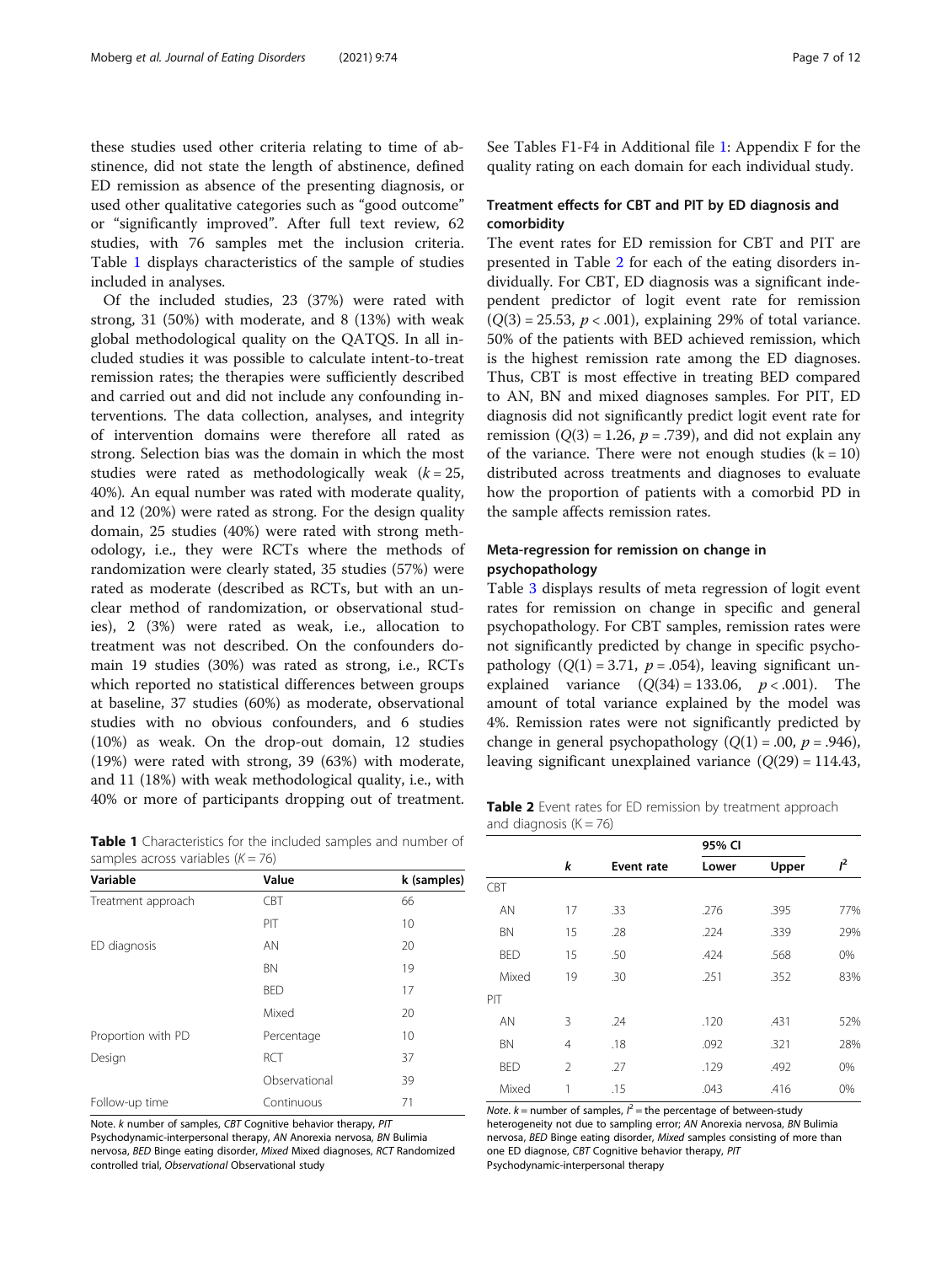these studies used other criteria relating to time of abstinence, did not state the length of abstinence, defined ED remission as absence of the presenting diagnosis, or used other qualitative categories such as "good outcome" or "significantly improved". After full text review, 62 studies, with 76 samples met the inclusion criteria. Table 1 displays characteristics of the sample of studies included in analyses.

Of the included studies, 23 (37%) were rated with strong, 31 (50%) with moderate, and 8 (13%) with weak global methodological quality on the QATQS. In all included studies it was possible to calculate intent-to-treat remission rates; the therapies were sufficiently described and carried out and did not include any confounding interventions. The data collection, analyses, and integrity of intervention domains were therefore all rated as strong. Selection bias was the domain in which the most studies were rated as methodologically weak  $(k = 25,$ 40%). An equal number was rated with moderate quality, and 12 (20%) were rated as strong. For the design quality domain, 25 studies (40%) were rated with strong methodology, i.e., they were RCTs where the methods of randomization were clearly stated, 35 studies (57%) were rated as moderate (described as RCTs, but with an unclear method of randomization, or observational studies), 2 (3%) were rated as weak, i.e., allocation to treatment was not described. On the confounders domain 19 studies (30%) was rated as strong, i.e., RCTs which reported no statistical differences between groups at baseline, 37 studies (60%) as moderate, observational studies with no obvious confounders, and 6 studies (10%) as weak. On the drop-out domain, 12 studies (19%) were rated with strong, 39 (63%) with moderate, and 11 (18%) with weak methodological quality, i.e., with 40% or more of participants dropping out of treatment.

Table 1 Characteristics for the included samples and number of samples across variables  $(K = 76)$ 

| Variable           | Value         | k (samples) |  |  |
|--------------------|---------------|-------------|--|--|
| Treatment approach | <b>CBT</b>    | 66          |  |  |
|                    | PIT           | 10          |  |  |
| ED diagnosis       | AN            | 20          |  |  |
|                    | <b>BN</b>     | 19          |  |  |
|                    | <b>BED</b>    | 17          |  |  |
|                    | Mixed         | 20          |  |  |
| Proportion with PD | Percentage    | 10          |  |  |
| Design             | RCT           | 37          |  |  |
|                    | Observational | 39          |  |  |
| Follow-up time     | Continuous    | 71          |  |  |

Note. k number of samples, CBT Cognitive behavior therapy, PIT

Psychodynamic-interpersonal therapy, AN Anorexia nervosa, BN Bulimia nervosa, BED Binge eating disorder, Mixed Mixed diagnoses, RCT Randomized controlled trial, Observational Observational study

See Tables F1-F4 in Additional file [1](#page-10-0): Appendix F for the quality rating on each domain for each individual study.

# Treatment effects for CBT and PIT by ED diagnosis and comorbidity

The event rates for ED remission for CBT and PIT are presented in Table 2 for each of the eating disorders individually. For CBT, ED diagnosis was a significant independent predictor of logit event rate for remission  $(Q(3) = 25.53, p < .001)$ , explaining 29% of total variance. 50% of the patients with BED achieved remission, which is the highest remission rate among the ED diagnoses. Thus, CBT is most effective in treating BED compared to AN, BN and mixed diagnoses samples. For PIT, ED diagnosis did not significantly predict logit event rate for remission ( $Q(3) = 1.26$ ,  $p = .739$ ), and did not explain any of the variance. There were not enough studies  $(k = 10)$ distributed across treatments and diagnoses to evaluate how the proportion of patients with a comorbid PD in the sample affects remission rates.

# Meta-regression for remission on change in psychopathology

Table [3](#page-7-0) displays results of meta regression of logit event rates for remission on change in specific and general psychopathology. For CBT samples, remission rates were not significantly predicted by change in specific psychopathology  $(Q(1) = 3.71, p = .054)$ , leaving significant unexplained variance  $(Q(34) = 133.06, p < .001)$ . The amount of total variance explained by the model was 4%. Remission rates were not significantly predicted by change in general psychopathology  $(Q(1) = .00, p = .946)$ , leaving significant unexplained variance  $(Q(29) = 114.43$ ,

Table 2 Event rates for ED remission by treatment approach and diagnosis  $(K = 76)$ 

|            |                |                   | 95% CI |       |       |
|------------|----------------|-------------------|--------|-------|-------|
|            | k              | <b>Event rate</b> | Lower  | Upper | $I^2$ |
| CBT        |                |                   |        |       |       |
| AN         | 17             | .33               | .276   | .395  | 77%   |
| <b>BN</b>  | 15             | .28               | .224   | .339  | 29%   |
| <b>BED</b> | 15             | .50               | .424   | .568  | 0%    |
| Mixed      | 19             | .30               | .251   | .352  | 83%   |
| PIT        |                |                   |        |       |       |
| AN         | 3              | .24               | .120   | .431  | 52%   |
| <b>BN</b>  | 4              | .18               | .092   | .321  | 28%   |
| <b>BED</b> | $\mathfrak{D}$ | .27               | .129   | .492  | 0%    |
| Mixed      | 1              | .15               | .043   | .416  | 0%    |

Note.  $k$  = number of samples,  $l^2$  = the percentage of between-study heterogeneity not due to sampling error; AN Anorexia nervosa, BN Bulimia nervosa, BED Binge eating disorder, Mixed samples consisting of more than one ED diagnose, CBT Cognitive behavior therapy, PIT Psychodynamic-interpersonal therapy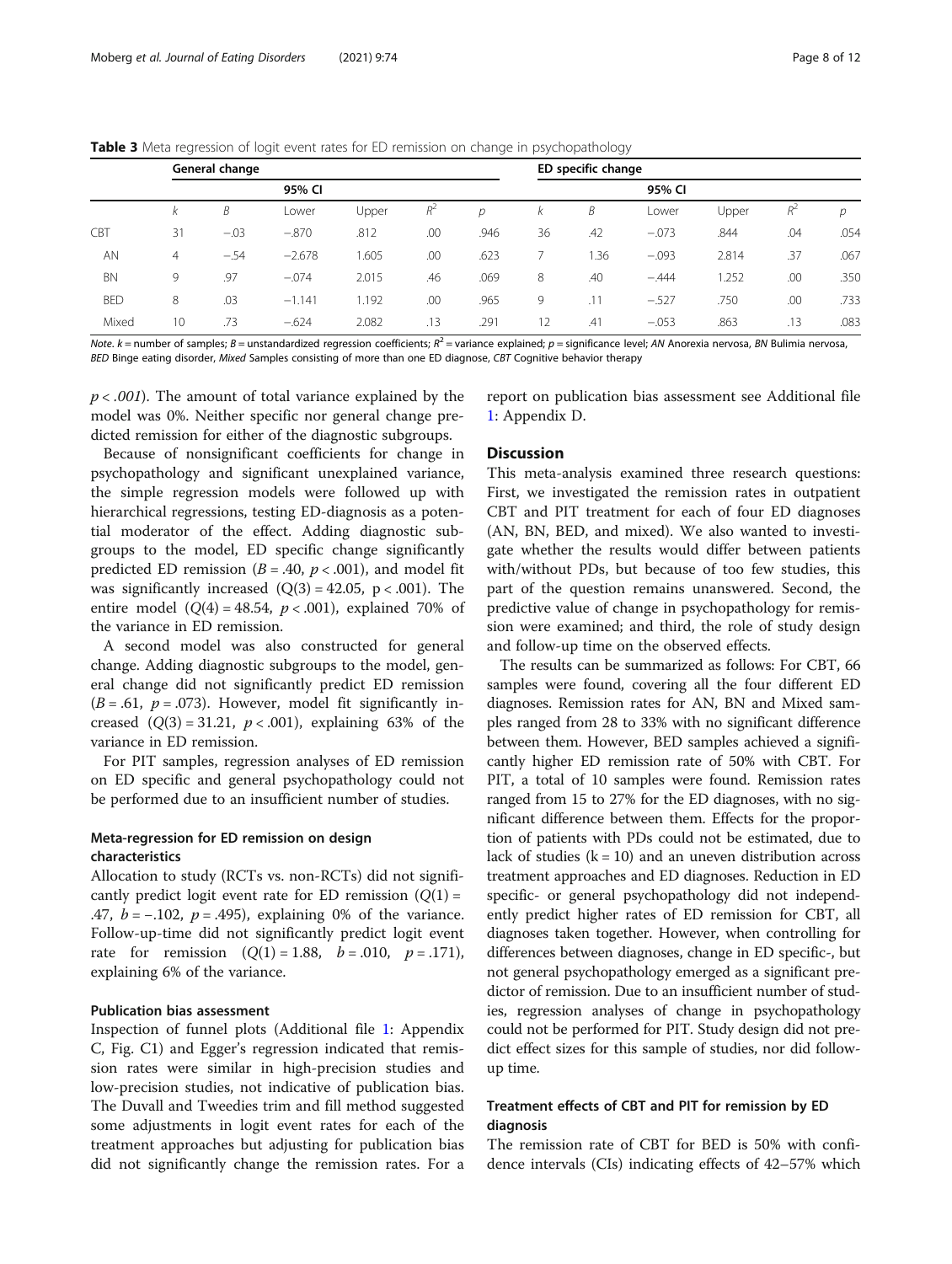#### <span id="page-7-0"></span>**Table 3** Meta regression of logit event rates for ED remission on change in psychopathology

|            | General change |        |          |       |       | ED specific change |    |      |         |       |       |      |
|------------|----------------|--------|----------|-------|-------|--------------------|----|------|---------|-------|-------|------|
|            |                |        | 95% CI   |       |       |                    |    |      | 95% CI  |       |       |      |
|            | K              | B      | Lower    | Upper | $R^2$ | D                  | Κ  | Β    | Lower   | Upper | $R^2$ | D    |
| CBT        | 31             | $-.03$ | $-.870$  | .812  | .00   | .946               | 36 | .42  | $-.073$ | .844  | .04   | .054 |
| <b>AN</b>  | $\overline{4}$ | $-.54$ | $-2.678$ | 1.605 | .00   | .623               |    | 1.36 | $-.093$ | 2.814 | .37   | .067 |
| <b>BN</b>  | 9              | .97    | $-.074$  | 2.015 | .46   | .069               | 8  | .40  | $-.444$ | 1.252 | .00   | .350 |
| <b>BED</b> | 8              | .03    | $-1.141$ | 1.192 | .00   | .965               | 9  | .11  | $-.527$ | .750  | .00   | .733 |
| Mixed      | 10             | .73    | $-.624$  | 2.082 | .13   | .291               | 12 | .41  | $-.053$ | .863  | .13   | .083 |

Note. k = number of samples; B = unstandardized regression coefficients;  $R^2$  = variance explained; p = significance level; AN Anorexia nervosa, BN Bulimia nervosa, BED Binge eating disorder, Mixed Samples consisting of more than one ED diagnose, CBT Cognitive behavior therapy

 $p < .001$ ). The amount of total variance explained by the model was 0%. Neither specific nor general change predicted remission for either of the diagnostic subgroups.

Because of nonsignificant coefficients for change in psychopathology and significant unexplained variance, the simple regression models were followed up with hierarchical regressions, testing ED-diagnosis as a potential moderator of the effect. Adding diagnostic subgroups to the model, ED specific change significantly predicted ED remission ( $B = .40$ ,  $p < .001$ ), and model fit was significantly increased  $(Q(3) = 42.05, p < .001)$ . The entire model  $(Q(4) = 48.54, p < .001)$ , explained 70% of the variance in ED remission.

A second model was also constructed for general change. Adding diagnostic subgroups to the model, general change did not significantly predict ED remission  $(B = .61, p = .073)$ . However, model fit significantly increased  $(Q(3) = 31.21, p < .001)$ , explaining 63% of the variance in ED remission.

For PIT samples, regression analyses of ED remission on ED specific and general psychopathology could not be performed due to an insufficient number of studies.

# Meta-regression for ED remission on design characteristics

Allocation to study (RCTs vs. non-RCTs) did not significantly predict logit event rate for ED remission  $(Q(1) =$ .47,  $b = -.102$ ,  $p = .495$ ), explaining 0% of the variance. Follow-up-time did not significantly predict logit event rate for remission  $(Q(1) = 1.88, b = .010, p = .171)$ , explaining 6% of the variance.

#### Publication bias assessment

Inspection of funnel plots (Additional file [1](#page-10-0): Appendix C, Fig. C1) and Egger's regression indicated that remission rates were similar in high-precision studies and low-precision studies, not indicative of publication bias. The Duvall and Tweedies trim and fill method suggested some adjustments in logit event rates for each of the treatment approaches but adjusting for publication bias did not significantly change the remission rates. For a report on publication bias assessment see Additional file [1:](#page-10-0) Appendix D.

### **Discussion**

This meta-analysis examined three research questions: First, we investigated the remission rates in outpatient CBT and PIT treatment for each of four ED diagnoses (AN, BN, BED, and mixed). We also wanted to investigate whether the results would differ between patients with/without PDs, but because of too few studies, this part of the question remains unanswered. Second, the predictive value of change in psychopathology for remission were examined; and third, the role of study design and follow-up time on the observed effects.

The results can be summarized as follows: For CBT, 66 samples were found, covering all the four different ED diagnoses. Remission rates for AN, BN and Mixed samples ranged from 28 to 33% with no significant difference between them. However, BED samples achieved a significantly higher ED remission rate of 50% with CBT. For PIT, a total of 10 samples were found. Remission rates ranged from 15 to 27% for the ED diagnoses, with no significant difference between them. Effects for the proportion of patients with PDs could not be estimated, due to lack of studies  $(k = 10)$  and an uneven distribution across treatment approaches and ED diagnoses. Reduction in ED specific- or general psychopathology did not independently predict higher rates of ED remission for CBT, all diagnoses taken together. However, when controlling for differences between diagnoses, change in ED specific-, but not general psychopathology emerged as a significant predictor of remission. Due to an insufficient number of studies, regression analyses of change in psychopathology could not be performed for PIT. Study design did not predict effect sizes for this sample of studies, nor did followup time.

# Treatment effects of CBT and PIT for remission by ED diagnosis

The remission rate of CBT for BED is 50% with confidence intervals (CIs) indicating effects of 42–57% which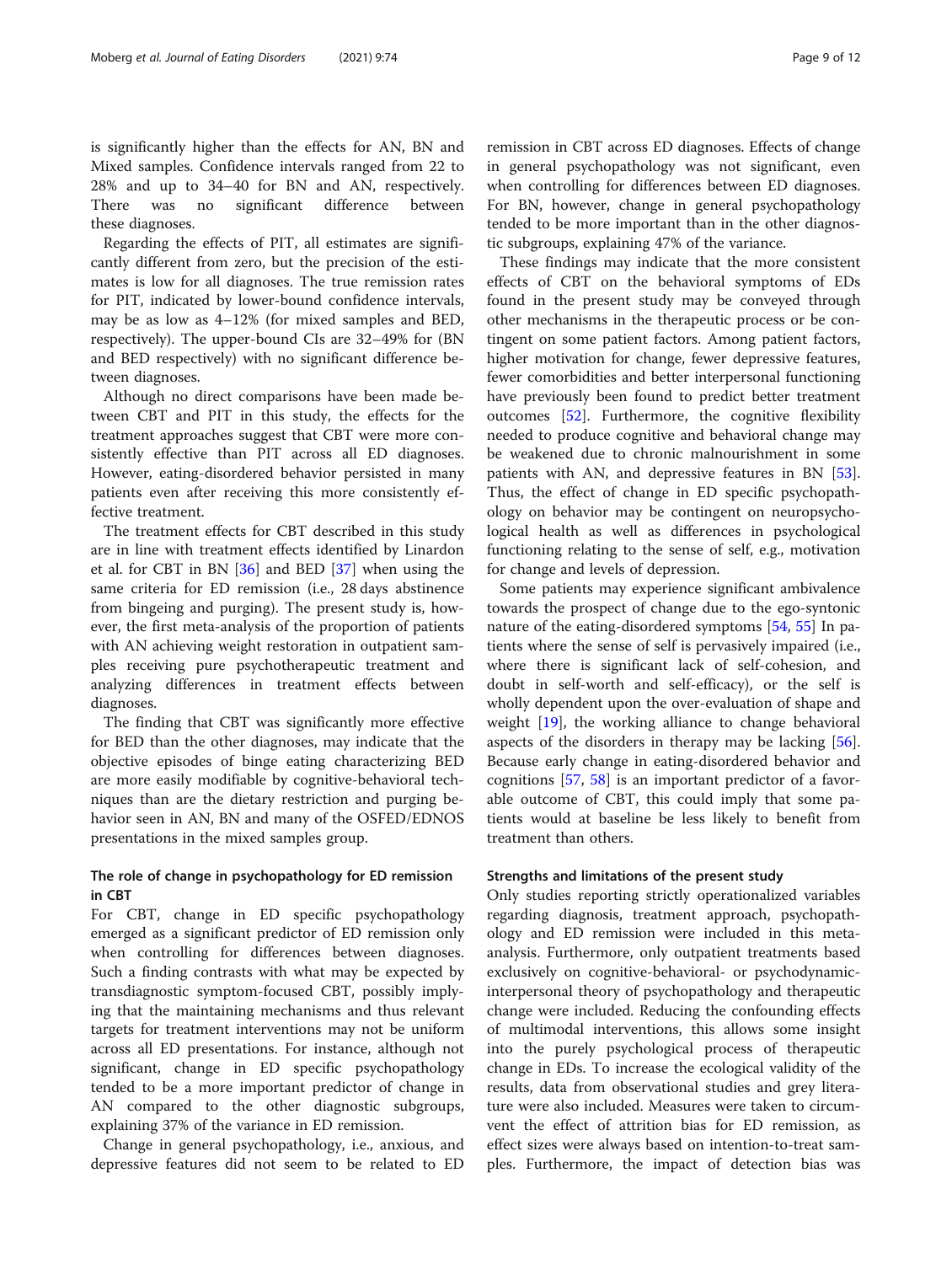is significantly higher than the effects for AN, BN and Mixed samples. Confidence intervals ranged from 22 to 28% and up to 34–40 for BN and AN, respectively. There was no significant difference between these diagnoses.

Regarding the effects of PIT, all estimates are significantly different from zero, but the precision of the estimates is low for all diagnoses. The true remission rates for PIT, indicated by lower-bound confidence intervals, may be as low as 4–12% (for mixed samples and BED, respectively). The upper-bound CIs are 32–49% for (BN and BED respectively) with no significant difference between diagnoses.

Although no direct comparisons have been made between CBT and PIT in this study, the effects for the treatment approaches suggest that CBT were more consistently effective than PIT across all ED diagnoses. However, eating-disordered behavior persisted in many patients even after receiving this more consistently effective treatment.

The treatment effects for CBT described in this study are in line with treatment effects identified by Linardon et al. for CBT in BN [[36\]](#page-11-0) and BED [\[37](#page-11-0)] when using the same criteria for ED remission (i.e., 28 days abstinence from bingeing and purging). The present study is, however, the first meta-analysis of the proportion of patients with AN achieving weight restoration in outpatient samples receiving pure psychotherapeutic treatment and analyzing differences in treatment effects between diagnoses.

The finding that CBT was significantly more effective for BED than the other diagnoses, may indicate that the objective episodes of binge eating characterizing BED are more easily modifiable by cognitive-behavioral techniques than are the dietary restriction and purging behavior seen in AN, BN and many of the OSFED/EDNOS presentations in the mixed samples group.

# The role of change in psychopathology for ED remission in CBT

For CBT, change in ED specific psychopathology emerged as a significant predictor of ED remission only when controlling for differences between diagnoses. Such a finding contrasts with what may be expected by transdiagnostic symptom-focused CBT, possibly implying that the maintaining mechanisms and thus relevant targets for treatment interventions may not be uniform across all ED presentations. For instance, although not significant, change in ED specific psychopathology tended to be a more important predictor of change in AN compared to the other diagnostic subgroups, explaining 37% of the variance in ED remission.

Change in general psychopathology, i.e., anxious, and depressive features did not seem to be related to ED

tic subgroups, explaining 47% of the variance. These findings may indicate that the more consistent effects of CBT on the behavioral symptoms of EDs found in the present study may be conveyed through other mechanisms in the therapeutic process or be contingent on some patient factors. Among patient factors, higher motivation for change, fewer depressive features, fewer comorbidities and better interpersonal functioning have previously been found to predict better treatment outcomes [\[52](#page-11-0)]. Furthermore, the cognitive flexibility needed to produce cognitive and behavioral change may be weakened due to chronic malnourishment in some patients with AN, and depressive features in BN [\[53](#page-11-0)]. Thus, the effect of change in ED specific psychopathology on behavior may be contingent on neuropsychological health as well as differences in psychological functioning relating to the sense of self, e.g., motivation for change and levels of depression.

Some patients may experience significant ambivalence towards the prospect of change due to the ego-syntonic nature of the eating-disordered symptoms [\[54,](#page-11-0) [55\]](#page-11-0) In patients where the sense of self is pervasively impaired (i.e., where there is significant lack of self-cohesion, and doubt in self-worth and self-efficacy), or the self is wholly dependent upon the over-evaluation of shape and weight [[19](#page-10-0)], the working alliance to change behavioral aspects of the disorders in therapy may be lacking [\[56](#page-11-0)]. Because early change in eating-disordered behavior and cognitions [[57,](#page-11-0) [58](#page-11-0)] is an important predictor of a favorable outcome of CBT, this could imply that some patients would at baseline be less likely to benefit from treatment than others.

### Strengths and limitations of the present study

Only studies reporting strictly operationalized variables regarding diagnosis, treatment approach, psychopathology and ED remission were included in this metaanalysis. Furthermore, only outpatient treatments based exclusively on cognitive-behavioral- or psychodynamicinterpersonal theory of psychopathology and therapeutic change were included. Reducing the confounding effects of multimodal interventions, this allows some insight into the purely psychological process of therapeutic change in EDs. To increase the ecological validity of the results, data from observational studies and grey literature were also included. Measures were taken to circumvent the effect of attrition bias for ED remission, as effect sizes were always based on intention-to-treat samples. Furthermore, the impact of detection bias was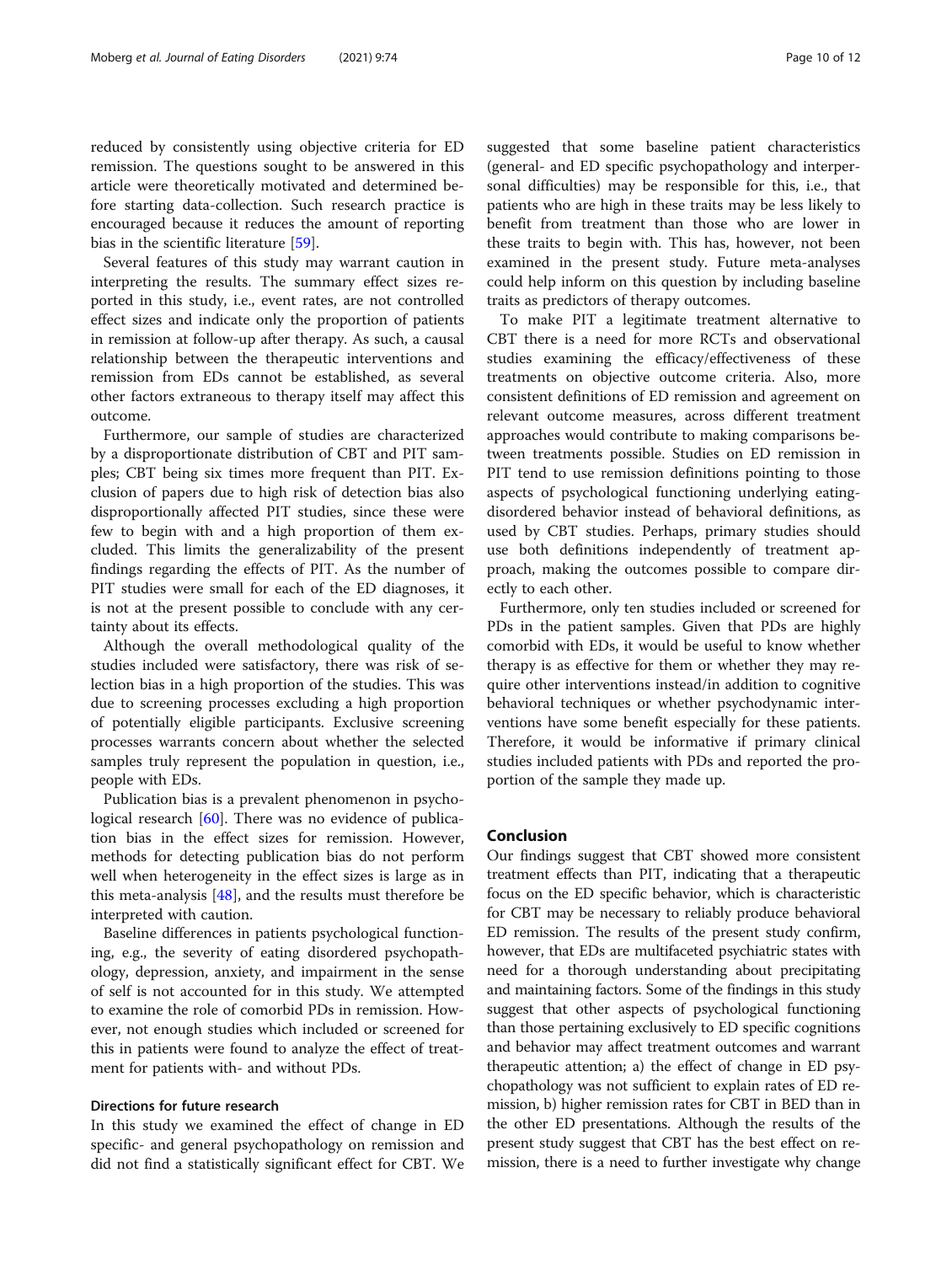reduced by consistently using objective criteria for ED remission. The questions sought to be answered in this article were theoretically motivated and determined before starting data-collection. Such research practice is encouraged because it reduces the amount of reporting bias in the scientific literature [[59\]](#page-11-0).

Several features of this study may warrant caution in interpreting the results. The summary effect sizes reported in this study, i.e., event rates, are not controlled effect sizes and indicate only the proportion of patients in remission at follow-up after therapy. As such, a causal relationship between the therapeutic interventions and remission from EDs cannot be established, as several other factors extraneous to therapy itself may affect this outcome.

Furthermore, our sample of studies are characterized by a disproportionate distribution of CBT and PIT samples; CBT being six times more frequent than PIT. Exclusion of papers due to high risk of detection bias also disproportionally affected PIT studies, since these were few to begin with and a high proportion of them excluded. This limits the generalizability of the present findings regarding the effects of PIT. As the number of PIT studies were small for each of the ED diagnoses, it is not at the present possible to conclude with any certainty about its effects.

Although the overall methodological quality of the studies included were satisfactory, there was risk of selection bias in a high proportion of the studies. This was due to screening processes excluding a high proportion of potentially eligible participants. Exclusive screening processes warrants concern about whether the selected samples truly represent the population in question, i.e., people with EDs.

Publication bias is a prevalent phenomenon in psychological research [\[60](#page-11-0)]. There was no evidence of publication bias in the effect sizes for remission. However, methods for detecting publication bias do not perform well when heterogeneity in the effect sizes is large as in this meta-analysis [[48\]](#page-11-0), and the results must therefore be interpreted with caution.

Baseline differences in patients psychological functioning, e.g., the severity of eating disordered psychopathology, depression, anxiety, and impairment in the sense of self is not accounted for in this study. We attempted to examine the role of comorbid PDs in remission. However, not enough studies which included or screened for this in patients were found to analyze the effect of treatment for patients with- and without PDs.

### Directions for future research

In this study we examined the effect of change in ED specific- and general psychopathology on remission and did not find a statistically significant effect for CBT. We suggested that some baseline patient characteristics (general- and ED specific psychopathology and interpersonal difficulties) may be responsible for this, i.e., that patients who are high in these traits may be less likely to benefit from treatment than those who are lower in these traits to begin with. This has, however, not been examined in the present study. Future meta-analyses could help inform on this question by including baseline traits as predictors of therapy outcomes.

To make PIT a legitimate treatment alternative to CBT there is a need for more RCTs and observational studies examining the efficacy/effectiveness of these treatments on objective outcome criteria. Also, more consistent definitions of ED remission and agreement on relevant outcome measures, across different treatment approaches would contribute to making comparisons between treatments possible. Studies on ED remission in PIT tend to use remission definitions pointing to those aspects of psychological functioning underlying eatingdisordered behavior instead of behavioral definitions, as used by CBT studies. Perhaps, primary studies should use both definitions independently of treatment approach, making the outcomes possible to compare directly to each other.

Furthermore, only ten studies included or screened for PDs in the patient samples. Given that PDs are highly comorbid with EDs, it would be useful to know whether therapy is as effective for them or whether they may require other interventions instead/in addition to cognitive behavioral techniques or whether psychodynamic interventions have some benefit especially for these patients. Therefore, it would be informative if primary clinical studies included patients with PDs and reported the proportion of the sample they made up.

### Conclusion

Our findings suggest that CBT showed more consistent treatment effects than PIT, indicating that a therapeutic focus on the ED specific behavior, which is characteristic for CBT may be necessary to reliably produce behavioral ED remission. The results of the present study confirm, however, that EDs are multifaceted psychiatric states with need for a thorough understanding about precipitating and maintaining factors. Some of the findings in this study suggest that other aspects of psychological functioning than those pertaining exclusively to ED specific cognitions and behavior may affect treatment outcomes and warrant therapeutic attention; a) the effect of change in ED psychopathology was not sufficient to explain rates of ED remission, b) higher remission rates for CBT in BED than in the other ED presentations. Although the results of the present study suggest that CBT has the best effect on remission, there is a need to further investigate why change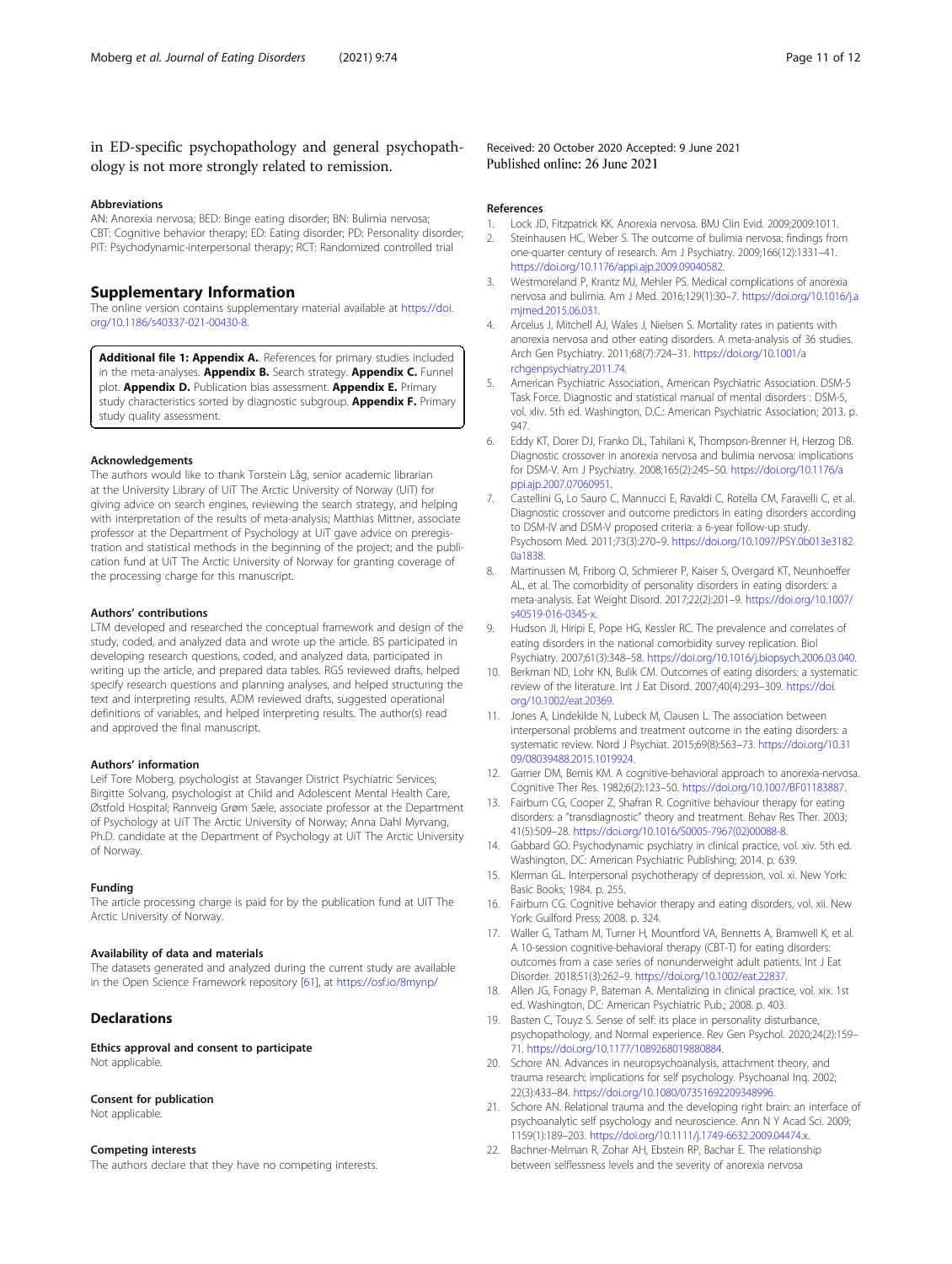#### <span id="page-10-0"></span>Abbreviations

AN: Anorexia nervosa; BED: Binge eating disorder; BN: Bulimia nervosa; CBT: Cognitive behavior therapy; ED: Eating disorder; PD: Personality disorder; PIT: Psychodynamic-interpersonal therapy; RCT: Randomized controlled trial

### Supplementary Information

The online version contains supplementary material available at [https://doi.](https://doi.org/10.1186/s40337-021-00430-8) [org/10.1186/s40337-021-00430-8.](https://doi.org/10.1186/s40337-021-00430-8)

Additional file 1: Appendix A. References for primary studies included in the meta-analyses. Appendix B. Search strategy. Appendix C. Funnel plot. **Appendix D.** Publication bias assessment. **Appendix E.** Primary study characteristics sorted by diagnostic subgroup. **Appendix F.** Primary study quality assessment.

#### Acknowledgements

The authors would like to thank Torstein Låg, senior academic librarian at the University Library of UiT The Arctic University of Norway (UiT) for giving advice on search engines, reviewing the search strategy, and helping with interpretation of the results of meta-analysis; Matthias Mittner, associate professor at the Department of Psychology at UiT gave advice on preregistration and statistical methods in the beginning of the project; and the publication fund at UiT The Arctic University of Norway for granting coverage of the processing charge for this manuscript.

#### Authors' contributions

LTM developed and researched the conceptual framework and design of the study, coded, and analyzed data and wrote up the article. BS participated in developing research questions, coded, and analyzed data, participated in writing up the article, and prepared data tables. RGS reviewed drafts, helped specify research questions and planning analyses, and helped structuring the text and interpreting results. ADM reviewed drafts, suggested operational definitions of variables, and helped interpreting results. The author(s) read and approved the final manuscript.

#### Authors' information

Leif Tore Moberg, psychologist at Stavanger District Psychiatric Services; Birgitte Solvang, psychologist at Child and Adolescent Mental Health Care, Østfold Hospital; Rannveig Grøm Sæle, associate professor at the Department of Psychology at UiT The Arctic University of Norway; Anna Dahl Myrvang, Ph.D. candidate at the Department of Psychology at UiT The Arctic University of Norway.

#### Funding

The article processing charge is paid for by the publication fund at UiT The Arctic University of Norway.

#### Availability of data and materials

The datasets generated and analyzed during the current study are available in the Open Science Framework repository [\[61](#page-11-0)], at <https://osf.io/8mynp/>

#### **Declarations**

Ethics approval and consent to participate Not applicable.

#### Consent for publication

Not applicable.

#### Competing interests

The authors declare that they have no competing interests.

#### Received: 20 October 2020 Accepted: 9 June 2021 Published online: 26 June 2021

#### References

- 1. Lock JD, Fitzpatrick KK. Anorexia nervosa. BMJ Clin Evid. 2009;2009:1011. 2. Steinhausen HC, Weber S. The outcome of bulimia nervosa: findings from one-quarter century of research. Am J Psychiatry. 2009;166(12):1331–41. <https://doi.org/10.1176/appi.ajp.2009.09040582>.
- 3. Westmoreland P, Krantz MJ, Mehler PS. Medical complications of anorexia nervosa and bulimia. Am J Med. 2016;129(1):30–7. [https://doi.org/10.1016/j.a](https://doi.org/10.1016/j.amjmed.2015.06.031) [mjmed.2015.06.031](https://doi.org/10.1016/j.amjmed.2015.06.031).
- 4. Arcelus J, Mitchell AJ, Wales J, Nielsen S. Mortality rates in patients with anorexia nervosa and other eating disorders. A meta-analysis of 36 studies. Arch Gen Psychiatry. 2011;68(7):724–31. [https://doi.org/10.1001/a](https://doi.org/10.1001/archgenpsychiatry.2011.74) [rchgenpsychiatry.2011.74](https://doi.org/10.1001/archgenpsychiatry.2011.74).
- 5. American Psychiatric Association., American Psychiatric Association. DSM-5 Task Force. Diagnostic and statistical manual of mental disorders : DSM-5, vol. xliv. 5th ed. Washington, D.C.: American Psychiatric Association; 2013. p. 947.
- 6. Eddy KT, Dorer DJ, Franko DL, Tahilani K, Thompson-Brenner H, Herzog DB. Diagnostic crossover in anorexia nervosa and bulimia nervosa: implications for DSM-V. Am J Psychiatry. 2008;165(2):245–50. [https://doi.org/10.1176/a](https://doi.org/10.1176/appi.ajp.2007.07060951) [ppi.ajp.2007.07060951.](https://doi.org/10.1176/appi.ajp.2007.07060951)
- 7. Castellini G, Lo Sauro C, Mannucci E, Ravaldi C, Rotella CM, Faravelli C, et al. Diagnostic crossover and outcome predictors in eating disorders according to DSM-IV and DSM-V proposed criteria: a 6-year follow-up study. Psychosom Med. 2011;73(3):270–9. [https://doi.org/10.1097/PSY.0b013e3182](https://doi.org/10.1097/PSY.0b013e31820a1838) [0a1838.](https://doi.org/10.1097/PSY.0b013e31820a1838)
- 8. Martinussen M, Friborg O, Schmierer P, Kaiser S, Overgard KT, Neunhoeffer AL, et al. The comorbidity of personality disorders in eating disorders: a meta-analysis. Eat Weight Disord. 2017;22(2):201–9. [https://doi.org/10.1007/](https://doi.org/10.1007/s40519-016-0345-x) s40519-016-0345-x
- 9. Hudson JI, Hiripi E, Pope HG, Kessler RC. The prevalence and correlates of eating disorders in the national comorbidity survey replication. Biol Psychiatry. 2007;61(3):348–58. [https://doi.org/10.1016/j.biopsych.2006.03.040.](https://doi.org/10.1016/j.biopsych.2006.03.040)
- 10. Berkman ND, Lohr KN, Bulik CM. Outcomes of eating disorders: a systematic review of the literature. Int J Eat Disord. 2007;40(4):293–309. [https://doi.](https://doi.org/10.1002/eat.20369) [org/10.1002/eat.20369](https://doi.org/10.1002/eat.20369).
- 11. Jones A, Lindekilde N, Lubeck M, Clausen L. The association between interpersonal problems and treatment outcome in the eating disorders: a systematic review. Nord J Psychiat. 2015;69(8):563–73. [https://doi.org/10.31](https://doi.org/10.3109/08039488.2015.1019924) [09/08039488.2015.1019924](https://doi.org/10.3109/08039488.2015.1019924).
- 12. Garner DM, Bemis KM. A cognitive-behavioral approach to anorexia-nervosa. Cognitive Ther Res. 1982;6(2):123–50. <https://doi.org/10.1007/BF01183887>.
- 13. Fairburn CG, Cooper Z, Shafran R. Cognitive behaviour therapy for eating disorders: a "transdiagnostic" theory and treatment. Behav Res Ther. 2003; 41(5):509–28. [https://doi.org/10.1016/S0005-7967\(02\)00088-8.](https://doi.org/10.1016/S0005-7967(02)00088-8)
- 14. Gabbard GO. Psychodynamic psychiatry in clinical practice, vol. xiv. 5th ed. Washington, DC: American Psychiatric Publishing; 2014. p. 639.
- 15. Klerman GL. Interpersonal psychotherapy of depression, vol. xi. New York: Basic Books; 1984. p. 255.
- 16. Fairburn CG. Cognitive behavior therapy and eating disorders, vol. xii. New York: Guilford Press; 2008. p. 324.
- 17. Waller G, Tatham M, Turner H, Mountford VA, Bennetts A, Bramwell K, et al. A 10-session cognitive-behavioral therapy (CBT-T) for eating disorders: outcomes from a case series of nonunderweight adult patients. Int J Eat Disorder. 2018;51(3):262–9. [https://doi.org/10.1002/eat.22837.](https://doi.org/10.1002/eat.22837)
- 18. Allen JG, Fonagy P, Bateman A. Mentalizing in clinical practice, vol. xix. 1st ed. Washington, DC: American Psychiatric Pub.; 2008. p. 403.
- 19. Basten C, Touyz S. Sense of self: its place in personality disturbance, psychopathology, and Normal experience. Rev Gen Psychol. 2020;24(2):159– 71. [https://doi.org/10.1177/1089268019880884.](https://doi.org/10.1177/1089268019880884)
- 20. Schore AN. Advances in neuropsychoanalysis, attachment theory, and trauma research: implications for self psychology. Psychoanal Inq. 2002; 22(3):433–84. <https://doi.org/10.1080/07351692209348996>.
- 21. Schore AN. Relational trauma and the developing right brain: an interface of psychoanalytic self psychology and neuroscience. Ann N Y Acad Sci. 2009; 1159(1):189–203. [https://doi.org/10.1111/j.1749-6632.2009.04474.x.](https://doi.org/10.1111/j.1749-6632.2009.04474.x)
- 22. Bachner-Melman R, Zohar AH, Ebstein RP, Bachar E. The relationship between selflessness levels and the severity of anorexia nervosa